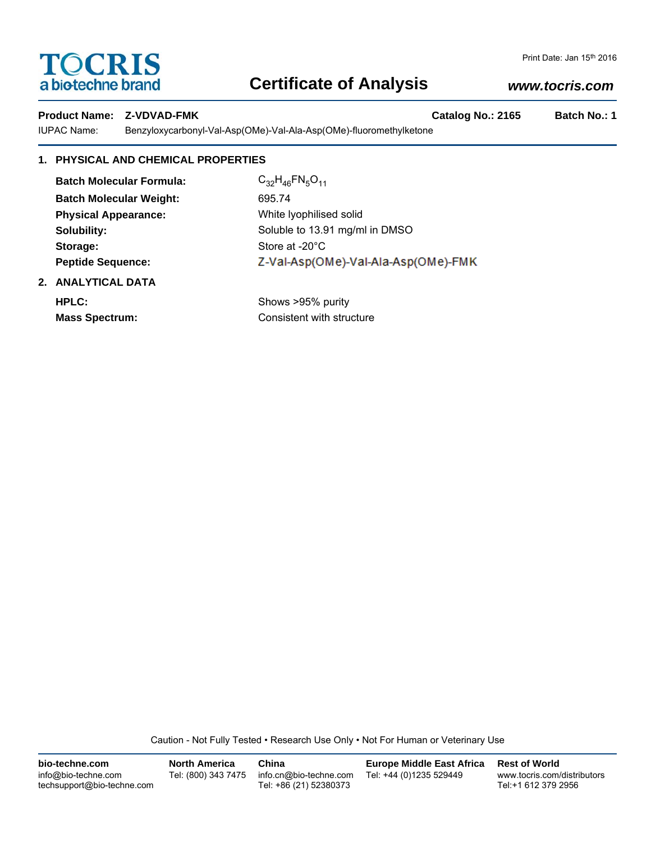# **TOCRIS**<br>a biotechne brand

# **Certificate of Analysis**

# *www.tocris.com*

## Product Name: Z-VDVAD-FMK **Catalog No.: 2165** Batch No.: 1

IUPAC Name: Benzyloxycarbonyl-Val-Asp(OMe)-Val-Ala-Asp(OMe)-fluoromethylketone

## **1. PHYSICAL AND CHEMICAL PROPERTIES**

| <b>Batch Molecular Formula:</b> | $C_{32}H_{46}FN_{5}O_{11}$          |
|---------------------------------|-------------------------------------|
| <b>Batch Molecular Weight:</b>  | 695.74                              |
| <b>Physical Appearance:</b>     | White Iyophilised solid             |
| Solubility:                     | Soluble to 13.91 mg/ml in DMSO      |
| Storage:                        | Store at -20°C                      |
| <b>Peptide Sequence:</b>        | Z-Val-Asp(OMe)-Val-Ala-Asp(OMe)-FMK |
| 2. ANALYTICAL DATA              |                                     |
| HPLC:                           | Shows >95% purity                   |
| <b>Mass Spectrum:</b>           | Consistent with structure           |

Caution - Not Fully Tested • Research Use Only • Not For Human or Veterinary Use

| bio-techne.com                                    | <b>North America</b> | China                                            | Europe Middle East Africa | <b>Rest of World</b>                               |
|---------------------------------------------------|----------------------|--------------------------------------------------|---------------------------|----------------------------------------------------|
| info@bio-techne.com<br>techsupport@bio-techne.com | Tel: (800) 343 7475  | info.cn@bio-techne.com<br>Tel: +86 (21) 52380373 | Tel: +44 (0)1235 529449   | www.tocris.com/distributors<br>Tel:+1 612 379 2956 |